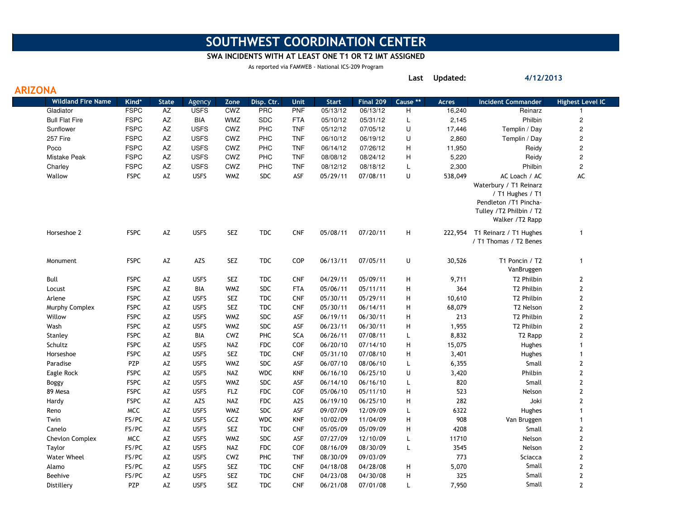# SOUTHWEST COORDINATION CENTER

#### SWA INCIDENTS WITH AT LEAST ONE T1 OR T2 IMT ASSIGNED

Last Updated:

4/12/2013

As reported via FAMWEB - National ICS-209 Program

| <b>ARIZONA</b> |                           |             |              |             |            |            |                  |              |           |                     |              |                                                                                                                                    |                         |
|----------------|---------------------------|-------------|--------------|-------------|------------|------------|------------------|--------------|-----------|---------------------|--------------|------------------------------------------------------------------------------------------------------------------------------------|-------------------------|
|                | <b>Wildland Fire Name</b> | Kind*       | <b>State</b> | Agency      | Zone       | Disp. Ctr. | Unit             | <b>Start</b> | Final 209 | Cause <sup>**</sup> | <b>Acres</b> | <b>Incident Commander</b>                                                                                                          | <b>Highest Level IC</b> |
|                | Gladiator                 | <b>FSPC</b> | AZ           | <b>USFS</b> | CWZ        | <b>PRC</b> | <b>PNF</b>       | 05/13/12     | 06/13/12  | H                   | 16,240       | Reinarz                                                                                                                            | -1                      |
|                | <b>Bull Flat Fire</b>     | <b>FSPC</b> | AZ           | <b>BIA</b>  | <b>WMZ</b> | <b>SDC</b> | <b>FTA</b>       | 05/10/12     | 05/31/12  | L                   | 2,145        | Philbin                                                                                                                            | $\overline{c}$          |
|                | Sunflower                 | <b>FSPC</b> | AZ           | <b>USFS</b> | CWZ        | PHC        | <b>TNF</b>       | 05/12/12     | 07/05/12  | U                   | 17,446       | Templin / Day                                                                                                                      | $\sqrt{2}$              |
|                | 257 Fire                  | <b>FSPC</b> | AΖ           | <b>USFS</b> | CWZ        | <b>PHC</b> | <b>TNF</b>       | 06/10/12     | 06/19/12  | U                   | 2,860        | Templin / Day                                                                                                                      | $\sqrt{2}$              |
|                | Poco                      | <b>FSPC</b> | AZ           | <b>USFS</b> | CWZ        | PHC        | <b>TNF</b>       | 06/14/12     | 07/26/12  | H                   | 11,950       | Reidy                                                                                                                              | $\overline{c}$          |
|                | Mistake Peak              | <b>FSPC</b> | AZ           | <b>USFS</b> | CWZ        | <b>PHC</b> | <b>TNF</b>       | 08/08/12     | 08/24/12  | H                   | 5,220        | Reidy                                                                                                                              | $\overline{c}$          |
|                | Charley                   | <b>FSPC</b> | AΖ           | <b>USFS</b> | CWZ        | <b>PHC</b> | <b>TNF</b>       | 08/12/12     | 08/18/12  | L                   | 2,300        | Philbin                                                                                                                            | $\overline{\mathbf{c}}$ |
|                | Wallow                    | <b>FSPC</b> | AZ           | <b>USFS</b> | <b>WMZ</b> | <b>SDC</b> | ASF              | 05/29/11     | 07/08/11  | U                   | 538,049      | AC Loach / AC<br>Waterbury / T1 Reinarz<br>/ T1 Hughes / T1<br>Pendleton /T1 Pincha-<br>Tulley /T2 Philbin / T2<br>Walker /T2 Rapp | AC                      |
|                | Horseshoe 2               | <b>FSPC</b> | AZ           | <b>USFS</b> | <b>SEZ</b> | <b>TDC</b> | <b>CNF</b>       | 05/08/11     | 07/20/11  | H                   | 222,954      | T1 Reinarz / T1 Hughes<br>/ T1 Thomas / T2 Benes                                                                                   | $\mathbf{1}$            |
|                | Monument                  | <b>FSPC</b> | AZ           | AZS         | <b>SEZ</b> | TDC        | COP              | 06/13/11     | 07/05/11  | U                   | 30,526       | T1 Poncin / T2<br>VanBruggen                                                                                                       | $\mathbf{1}$            |
|                | Bull                      | <b>FSPC</b> | AZ           | <b>USFS</b> | <b>SEZ</b> | <b>TDC</b> | <b>CNF</b>       | 04/29/11     | 05/09/11  | H                   | 9,711        | T2 Philbin                                                                                                                         | $\mathbf 2$             |
|                | Locust                    | <b>FSPC</b> | AZ           | BIA         | <b>WMZ</b> | <b>SDC</b> | <b>FTA</b>       | 05/06/11     | 05/11/11  | Н                   | 364          | T2 Philbin                                                                                                                         | $\mathbf{2}$            |
|                | Arlene                    | <b>FSPC</b> | AZ           | <b>USFS</b> | <b>SEZ</b> | <b>TDC</b> | <b>CNF</b>       | 05/30/11     | 05/29/11  | H                   | 10,610       | T2 Philbin                                                                                                                         | $\mathbf{2}$            |
|                | Murphy Complex            | <b>FSPC</b> | AZ           | <b>USFS</b> | <b>SEZ</b> | <b>TDC</b> | <b>CNF</b>       | 05/30/11     | 06/14/11  | H                   | 68,079       | T2 Nelson                                                                                                                          | $\mathbf{2}$            |
|                | Willow                    | <b>FSPC</b> | AZ           | <b>USFS</b> | <b>WMZ</b> | <b>SDC</b> | ASF              | 06/19/11     | 06/30/11  | Н                   | 213          | T2 Philbin                                                                                                                         | $\mathbf{2}$            |
|                | Wash                      | <b>FSPC</b> | AZ           | <b>USFS</b> | <b>WMZ</b> | <b>SDC</b> | ASF              | 06/23/11     | 06/30/11  | H                   | 1,955        | T2 Philbin                                                                                                                         | $\mathbf{2}$            |
|                | Stanley                   | <b>FSPC</b> | AZ           | BIA         | CWZ        | <b>PHC</b> | <b>SCA</b>       | 06/26/11     | 07/08/11  | L                   | 8,832        | T <sub>2</sub> Rapp                                                                                                                | $\mathbf{2}$            |
|                | Schultz                   | <b>FSPC</b> | AZ           | <b>USFS</b> | NAZ        | FDC        | <b>COF</b>       | 06/20/10     | 07/14/10  | Н                   | 15,075       | Hughes                                                                                                                             | $\mathbf{1}$            |
|                | Horseshoe                 | <b>FSPC</b> | AZ           | <b>USFS</b> | <b>SEZ</b> | <b>TDC</b> | <b>CNF</b>       | 05/31/10     | 07/08/10  | H                   | 3,401        | Hughes                                                                                                                             | $\mathbf{1}$            |
|                | Paradise                  | PZP         | AZ           | <b>USFS</b> | <b>WMZ</b> | <b>SDC</b> | ASF              | 06/07/10     | 08/06/10  | L                   | 6,355        | Small                                                                                                                              | $\mathbf{2}$            |
|                | Eagle Rock                | <b>FSPC</b> | AZ           | <b>USFS</b> | <b>NAZ</b> | <b>WDC</b> | <b>KNF</b>       | 06/16/10     | 06/25/10  | U                   | 3,420        | Philbin                                                                                                                            | $\mathbf{2}$            |
|                | Boggy                     | <b>FSPC</b> | AZ           | <b>USFS</b> | <b>WMZ</b> | <b>SDC</b> | ASF              | 06/14/10     | 06/16/10  | L                   | 820          | Small                                                                                                                              | $\mathbf{2}$            |
|                | 89 Mesa                   | <b>FSPC</b> | AZ           | <b>USFS</b> | <b>FLZ</b> | <b>FDC</b> | <b>COF</b>       | 05/06/10     | 05/11/10  | Н                   | 523          | Nelson                                                                                                                             | $\mathbf{2}$            |
|                | Hardy                     | <b>FSPC</b> | AZ           | AZS         | <b>NAZ</b> | <b>FDC</b> | A <sub>2</sub> S | 06/19/10     | 06/25/10  | H                   | 282          | Joki                                                                                                                               | $\mathbf{2}$            |
|                | Reno                      | <b>MCC</b>  | AZ           | <b>USFS</b> | <b>WMZ</b> | <b>SDC</b> | ASF              | 09/07/09     | 12/09/09  | L                   | 6322         | Hughes                                                                                                                             | $\mathbf{1}$            |
|                | Twin                      | FS/PC       | AZ           | <b>USFS</b> | GCZ        | <b>WDC</b> | <b>KNF</b>       | 10/02/09     | 11/04/09  | Н                   | 908          | Van Bruggen                                                                                                                        | $\mathbf{1}$            |
|                | Canelo                    | FS/PC       | AZ           | <b>USFS</b> | <b>SEZ</b> | <b>TDC</b> | <b>CNF</b>       | 05/05/09     | 05/09/09  | H                   | 4208         | Small                                                                                                                              | $\mathbf{2}$            |
|                | Chevlon Complex           | <b>MCC</b>  | AZ           | <b>USFS</b> | <b>WMZ</b> | <b>SDC</b> | ASF              | 07/27/09     | 12/10/09  | L                   | 11710        | Nelson                                                                                                                             | $\mathbf{2}$            |
|                | Taylor                    | FS/PC       | AZ           | <b>USFS</b> | <b>NAZ</b> | <b>FDC</b> | COF              | 08/16/09     | 08/30/09  | L                   | 3545         | Nelson                                                                                                                             | $\mathbf{2}$            |
|                | <b>Water Wheel</b>        | FS/PC       | AZ           | <b>USFS</b> | CWZ        | <b>PHC</b> | <b>TNF</b>       | 08/30/09     | 09/03/09  |                     | 773          | Sciacca                                                                                                                            | $\mathbf{2}$            |
|                | Alamo                     | FS/PC       | AZ           | <b>USFS</b> | <b>SEZ</b> | <b>TDC</b> | <b>CNF</b>       | 04/18/08     | 04/28/08  | Н                   | 5,070        | Small                                                                                                                              | $\mathbf{2}$            |
|                | Beehive                   | FS/PC       | AZ           | <b>USFS</b> | <b>SEZ</b> | <b>TDC</b> | <b>CNF</b>       | 04/23/08     | 04/30/08  | H                   | 325          | Small                                                                                                                              | $\mathbf{2}$            |
|                | Distillery                | <b>PZP</b>  | AZ           | <b>USFS</b> | <b>SEZ</b> | <b>TDC</b> | <b>CNF</b>       | 06/21/08     | 07/01/08  | L                   | 7,950        | Small                                                                                                                              | $\mathbf{2}$            |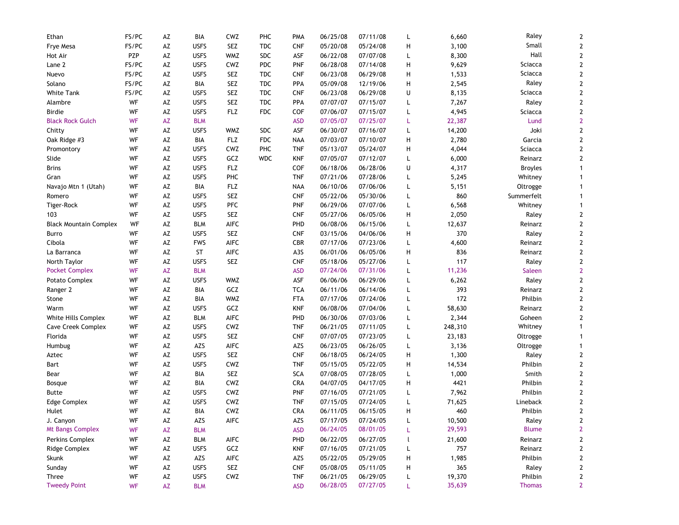| Ethan                         | FS/PC | AZ | BIA         | CWZ         | PHC        | <b>PMA</b> | 06/25/08 | 07/11/08 | L              | 6,660   | Raley          | 2                       |
|-------------------------------|-------|----|-------------|-------------|------------|------------|----------|----------|----------------|---------|----------------|-------------------------|
| Frye Mesa                     | FS/PC | AZ | <b>USFS</b> | <b>SEZ</b>  | <b>TDC</b> | <b>CNF</b> | 05/20/08 | 05/24/08 | н              | 3,100   | Small          | $\mathbf{2}$            |
| Hot Air                       | PZP   | AZ | <b>USFS</b> | <b>WMZ</b>  | SDC        | ASF        | 06/22/08 | 07/07/08 | L              | 8,300   | Hall           | $\overline{\mathbf{c}}$ |
| Lane 2                        | FS/PC | AZ | <b>USFS</b> | CWZ         | <b>PDC</b> | <b>PNF</b> | 06/28/08 | 07/14/08 | н              | 9,629   | Sciacca        | $\mathbf{2}$            |
| Nuevo                         | FS/PC | AZ | <b>USFS</b> | <b>SEZ</b>  | <b>TDC</b> | <b>CNF</b> | 06/23/08 | 06/29/08 | н              | 1,533   | Sciacca        | $\mathbf{2}$            |
| Solano                        | FS/PC | AZ | BIA         | SEZ         | <b>TDC</b> | PPA        | 05/09/08 | 12/19/06 | н              | 2,545   | Raley          | $\mathbf{2}$            |
| White Tank                    | FS/PC | AZ | <b>USFS</b> | <b>SEZ</b>  | <b>TDC</b> | <b>CNF</b> | 06/23/08 | 06/29/08 | U              | 8,135   | Sciacca        | $\mathbf{2}$            |
| Alambre                       | WF    | AZ | <b>USFS</b> | <b>SEZ</b>  | <b>TDC</b> | PPA        | 07/07/07 | 07/15/07 | L              | 7,267   | Raley          | 2                       |
| <b>Birdie</b>                 | WF    | AZ | <b>USFS</b> | <b>FLZ</b>  | <b>FDC</b> | COF        | 07/06/07 | 07/15/07 | L              | 4,945   | Sciacca        | 2                       |
| <b>Black Rock Gulch</b>       | WF    | AZ | <b>BLM</b>  |             |            | ASD        | 07/05/07 | 07/25/07 | L              | 22,387  | Lund           | $\overline{2}$          |
| Chitty                        | WF    | AZ | <b>USFS</b> | <b>WMZ</b>  | SDC        | ASF        | 06/30/07 | 07/16/07 | L              | 14,200  | Joki           | $\mathbf{2}$            |
| Oak Ridge #3                  | WF    | AZ | BIA         | <b>FLZ</b>  | <b>FDC</b> | <b>NAA</b> | 07/03/07 | 07/10/07 | н              | 2,780   | Garcia         | $\mathbf{2}$            |
| Promontory                    | WF    | AZ | <b>USFS</b> | CWZ         | PHC        | <b>TNF</b> | 05/13/07 | 05/24/07 | н              | 4,044   | Sciacca        | $\mathbf{2}$            |
| Slide                         | WF    | AZ | <b>USFS</b> | GCZ         | <b>WDC</b> | KNF        | 07/05/07 | 07/12/07 | L              | 6,000   | Reinarz        | 2                       |
| <b>Brins</b>                  | WF    | AZ | <b>USFS</b> | <b>FLZ</b>  |            | COF        | 06/18/06 | 06/28/06 | U              | 4,317   | <b>Broyles</b> | 1                       |
| Gran                          | WF    | AZ | <b>USFS</b> | PHC         |            | <b>TNF</b> | 07/21/06 | 07/28/06 | L              | 5,245   | Whitney        | 1                       |
| Navajo Mtn 1 (Utah)           | WF    | AZ | BIA         | <b>FLZ</b>  |            | <b>NAA</b> | 06/10/06 | 07/06/06 | L              | 5,151   | Oltrogge       | 1                       |
| Romero                        | WF    | AZ | <b>USFS</b> | <b>SEZ</b>  |            | <b>CNF</b> | 05/22/06 | 05/30/06 | L              | 860     | Summerfelt     | 1                       |
| Tiger-Rock                    | WF    | AZ | <b>USFS</b> | <b>PFC</b>  |            | <b>PNF</b> | 06/29/06 | 07/07/06 | L              | 6,568   | Whitney        | $\mathbf{1}$            |
| 103                           | WF    | AZ | <b>USFS</b> | <b>SEZ</b>  |            | <b>CNF</b> | 05/27/06 | 06/05/06 | н              | 2,050   | Raley          | 2                       |
| <b>Black Mountain Complex</b> | WF    | AZ | <b>BLM</b>  | AIFC        |            | <b>PHD</b> | 06/08/06 | 06/15/06 | L              | 12,637  | Reinarz        | $\mathbf{2}$            |
| Burro                         | WF    | AZ | <b>USFS</b> | SEZ         |            | <b>CNF</b> | 03/15/06 | 04/06/06 | н              | 370     | Raley          | 2                       |
| Cibola                        | WF    | AZ | <b>FWS</b>  | <b>AIFC</b> |            | <b>CBR</b> | 07/17/06 | 07/23/06 | L              | 4,600   | Reinarz        | $\mathbf{2}$            |
| La Barranca                   | WF    | AZ | <b>ST</b>   | <b>AIFC</b> |            | A3S        | 06/01/06 | 06/05/06 | н              | 836     | Reinarz        | $\mathbf{2}$            |
| North Taylor                  | WF    | AZ | <b>USFS</b> | <b>SEZ</b>  |            | <b>CNF</b> | 05/18/06 | 05/27/06 | L              | 117     | Raley          | $\overline{\mathbf{c}}$ |
| <b>Pocket Complex</b>         | WF    | AZ | <b>BLM</b>  |             |            | <b>ASD</b> | 07/24/06 | 07/31/06 | L              | 11,236  | Saleen         | $\overline{2}$          |
| Potato Complex                | WF    | AZ | <b>USFS</b> | <b>WMZ</b>  |            | ASF        | 06/06/06 | 06/29/06 | L              | 6,262   | Raley          | $\mathbf{2}$            |
| Ranger 2                      | WF    | AZ | BIA         | GCZ         |            | <b>TCA</b> | 06/11/06 | 06/14/06 | L              | 393     | Reinarz        | $\mathbf{2}$            |
| Stone                         | WF    | AΖ | BIA         | <b>WMZ</b>  |            | <b>FTA</b> | 07/17/06 | 07/24/06 | L              | 172     | Philbin        | $\mathbf{2}$            |
| Warm                          | WF    | AZ | <b>USFS</b> | GCZ         |            | <b>KNF</b> | 06/08/06 | 07/04/06 | L              | 58,630  | Reinarz        | 2                       |
| White Hills Complex           | WF    | AZ | <b>BLM</b>  | <b>AIFC</b> |            | PHD        | 06/30/06 | 07/03/06 | L              | 2,344   | Goheen         | $\overline{2}$          |
| Cave Creek Complex            | WF    | AZ | <b>USFS</b> | CWZ         |            | <b>TNF</b> | 06/21/05 | 07/11/05 | L              | 248,310 | Whitney        | $\mathbf{1}$            |
| Florida                       | WF    | AZ | <b>USFS</b> | <b>SEZ</b>  |            | <b>CNF</b> | 07/07/05 | 07/23/05 | L              | 23,183  | Oltrogge       | 1                       |
| Humbug                        | WF    | AZ | AZS         | <b>AIFC</b> |            | AZS        | 06/23/05 | 06/26/05 | L              | 3,136   | Oltrogge       | 1                       |
| Aztec                         | WF    | AZ | <b>USFS</b> | <b>SEZ</b>  |            | <b>CNF</b> | 06/18/05 | 06/24/05 | н              | 1,300   | Raley          | $\overline{\mathbf{c}}$ |
| Bart                          | WF    | AZ | <b>USFS</b> | CWZ         |            | <b>TNF</b> | 05/15/05 | 05/22/05 | н              | 14,534  | Philbin        | $\overline{\mathbf{c}}$ |
| Bear                          | WF    | AZ | BIA         | <b>SEZ</b>  |            | <b>SCA</b> | 07/08/05 | 07/28/05 | L              | 1,000   | Smith          | $\mathbf{2}$            |
| Bosque                        | WF    | AZ | BIA         | CWZ         |            | CRA        | 04/07/05 | 04/17/05 | н              | 4421    | Philbin        | $\mathbf 2$             |
| Butte                         | WF    | AZ | <b>USFS</b> | CWZ         |            | PNF        | 07/16/05 | 07/21/05 | L              | 7,962   | Philbin        | $\overline{2}$          |
| Edge Complex                  | WF    | AΖ | <b>USFS</b> | CWZ         |            | <b>TNF</b> | 07/15/05 | 07/24/05 | L              | 71,625  | Lineback       | $\overline{2}$          |
| Hulet                         | WF    | AΖ | BIA         | CWZ         |            | CRA        | 06/11/05 | 06/15/05 | н              | 460     | Philbin        | $\mathbf{2}$            |
| J. Canyon                     | WF    | AZ | AZS         | AIFC        |            | AZS        | 07/17/05 | 07/24/05 | L              | 10,500  | Raley          | $\boldsymbol{2}$        |
| <b>Mt Bangs Complex</b>       | WF    | AZ | <b>BLM</b>  |             |            | <b>ASD</b> | 06/24/05 | 08/01/05 | L              | 29,593  | <b>Blume</b>   | $\mathbf{2}$            |
| Perkins Complex               | WF    | AZ | <b>BLM</b>  | AIFC        |            | PHD        | 06/22/05 | 06/27/05 | $\mathfrak{t}$ | 21,600  | Reinarz        | $\overline{\mathbf{c}}$ |
| Ridge Complex                 | WF    | AZ | <b>USFS</b> | GCZ         |            | <b>KNF</b> | 07/16/05 | 07/21/05 | L              | 757     | Reinarz        | $\overline{\mathbf{c}}$ |
| Skunk                         | WF    | AZ | AZS         | AIFC        |            | AZS        | 05/22/05 | 05/29/05 | Н              | 1,985   | Philbin        | $\boldsymbol{2}$        |
| Sunday                        | WF    | AZ | <b>USFS</b> | SEZ         |            | <b>CNF</b> | 05/08/05 | 05/11/05 | Н              | 365     | Raley          | 2                       |
| Three                         | WF    | AZ | <b>USFS</b> | ${\sf CWZ}$ |            | <b>TNF</b> | 06/21/05 | 06/29/05 | L              | 19,370  | Philbin        | $\overline{\mathbf{c}}$ |
| <b>Tweedy Point</b>           | WF    | AZ | <b>BLM</b>  |             |            | <b>ASD</b> | 06/28/05 | 07/27/05 | L              | 35,639  | <b>Thomas</b>  | $\mathbf{2}$            |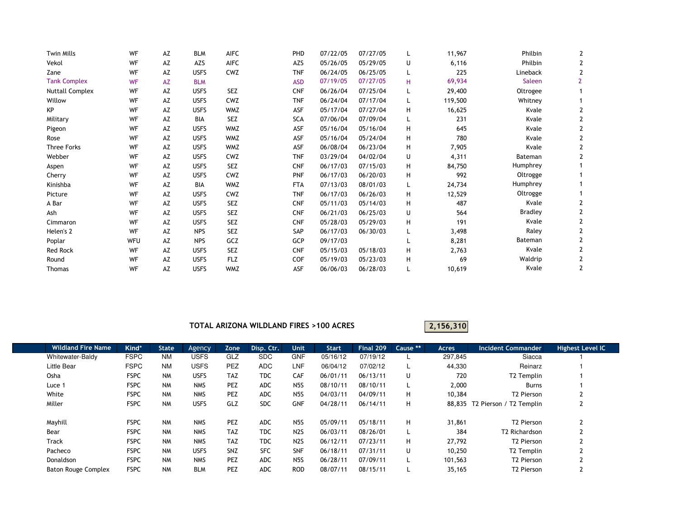| WF        | AZ | <b>BLM</b>  | <b>AIFC</b> | PHD        | 07/22/05 | 07/27/05 |    | 11,967  | Philbin        |   |
|-----------|----|-------------|-------------|------------|----------|----------|----|---------|----------------|---|
| WF        | AZ | AZS         | <b>AIFC</b> | AZS        | 05/26/05 | 05/29/05 | U  | 6,116   | Philbin        |   |
| WF        | AZ | <b>USFS</b> | CWZ         | <b>TNF</b> | 06/24/05 | 06/25/05 |    | 225     | Lineback       |   |
| <b>WF</b> | AZ | <b>BLM</b>  |             | <b>ASD</b> | 07/19/05 | 07/27/05 | H. | 69,934  | Saleen         |   |
| WF        | AZ | <b>USFS</b> | <b>SEZ</b>  | <b>CNF</b> | 06/26/04 | 07/25/04 | L  | 29,400  | Oltrogee       |   |
| WF        | AZ | <b>USFS</b> | CWZ         | <b>TNF</b> | 06/24/04 | 07/17/04 | L  | 119,500 | Whitney        |   |
| WF        | AZ | <b>USFS</b> | <b>WMZ</b>  | ASF        | 05/17/04 | 07/27/04 | H  | 16,625  | Kvale          |   |
| WF        | AZ | BIA         | <b>SEZ</b>  | SCA        | 07/06/04 | 07/09/04 | L  | 231     | Kvale          |   |
| WF        | AZ | <b>USFS</b> | <b>WMZ</b>  | ASF        | 05/16/04 | 05/16/04 | н  | 645     | Kvale          |   |
| WF        | AZ | <b>USFS</b> | <b>WMZ</b>  | ASF        | 05/16/04 | 05/24/04 | н  | 780     | Kvale          |   |
| WF        | AZ | <b>USFS</b> | <b>WMZ</b>  | ASF        | 06/08/04 | 06/23/04 | H  | 7,905   | Kvale          |   |
| WF        | AZ | <b>USFS</b> | CWZ         | <b>TNF</b> | 03/29/04 | 04/02/04 | U  | 4,311   | Bateman        |   |
| WF        | AZ | <b>USFS</b> | <b>SEZ</b>  | <b>CNF</b> | 06/17/03 | 07/15/03 | H  | 84,750  | Humphrey       |   |
| WF        | AZ | <b>USFS</b> | CWZ         | <b>PNF</b> | 06/17/03 | 06/20/03 | н  | 992     | Oltrogge       |   |
| WF        | AZ | <b>BIA</b>  | <b>WMZ</b>  | <b>FTA</b> | 07/13/03 | 08/01/03 | L  | 24,734  | Humphrey       |   |
| WF        | AZ | <b>USFS</b> | CWZ         | <b>TNF</b> | 06/17/03 | 06/26/03 | H  | 12,529  | Oltrogge       |   |
| WF        | AZ | <b>USFS</b> | <b>SEZ</b>  | <b>CNF</b> | 05/11/03 | 05/14/03 | H  | 487     | Kvale          |   |
| WF        | AZ | <b>USFS</b> | <b>SEZ</b>  | <b>CNF</b> | 06/21/03 | 06/25/03 | U  | 564     | <b>Bradley</b> |   |
| WF        | AZ | <b>USFS</b> | <b>SEZ</b>  | <b>CNF</b> | 05/28/03 | 05/29/03 | H  | 191     | Kvale          |   |
| WF        | AZ | <b>NPS</b>  | <b>SEZ</b>  | SAP        | 06/17/03 | 06/30/03 | L  | 3,498   | Raley          |   |
| WFU       | AZ | <b>NPS</b>  | GCZ         | <b>GCP</b> | 09/17/03 |          |    | 8,281   | Bateman        |   |
| WF        | AZ | <b>USFS</b> | <b>SEZ</b>  | <b>CNF</b> | 05/15/03 | 05/18/03 | H  | 2,763   | Kvale          |   |
| WF        | AZ | <b>USFS</b> | <b>FLZ</b>  | COF        | 05/19/03 | 05/23/03 | н  | 69      | Waldrip        |   |
| WF        | AZ | <b>USFS</b> | <b>WMZ</b>  | ASF        | 06/06/03 | 06/28/03 | L  | 10,619  | Kvale          | 2 |
|           |    |             |             |            |          |          |    |         |                |   |

### TOTAL ARIZONA WILDLAND FIRES >100 ACRES

2,156,310

| <b>Wildland Fire Name</b>  | Kind*       | <b>State</b> | Agency      | Zone       | Disp. Ctr. | <b>Unit</b>      | <b>Start</b> | Final 209 | Cause ** | Acres   | <b>Incident Commander</b>      | Highest Level IC |
|----------------------------|-------------|--------------|-------------|------------|------------|------------------|--------------|-----------|----------|---------|--------------------------------|------------------|
| Whitewater-Baldy           | <b>FSPC</b> | <b>NM</b>    | <b>USFS</b> | GLZ        | <b>SDC</b> | <b>GNF</b>       | 05/16/12     | 07/19/12  |          | 297,845 | Siacca                         |                  |
| Little Bear                | <b>FSPC</b> | <b>NM</b>    | USFS        | <b>PEZ</b> | ADC        | LNF              | 06/04/12     | 07/02/12  |          | 44,330  | Reinarz                        |                  |
| Osha                       | <b>FSPC</b> | <b>NM</b>    | <b>USFS</b> | <b>TAZ</b> | <b>TDC</b> | <b>CAF</b>       | 06/01/11     | 06/13/11  | U        | 720     | T <sub>2</sub> Templin         |                  |
| Luce 1                     | <b>FSPC</b> | <b>NM</b>    | <b>NMS</b>  | PEZ        | <b>ADC</b> | N <sub>5</sub> S | 08/10/11     | 08/10/11  |          | 2,000   | <b>Burns</b>                   |                  |
| White                      | <b>FSPC</b> | <b>NM</b>    | <b>NMS</b>  | <b>PEZ</b> | <b>ADC</b> | N5S              | 04/03/11     | 04/09/11  | H        | 10,384  | T <sub>2</sub> Pierson         | L                |
| Miller                     | <b>FSPC</b> | <b>NM</b>    | <b>USFS</b> | GLZ        | <b>SDC</b> | <b>GNF</b>       | 04/28/11     | 06/14/11  | H        |         | 88.835 T2 Pierson / T2 Templin | L                |
|                            |             |              |             |            |            |                  |              |           |          |         |                                |                  |
| Mayhill                    | <b>FSPC</b> | <b>NM</b>    | <b>NMS</b>  | <b>PEZ</b> | <b>ADC</b> | N <sub>5</sub> S | 05/09/11     | 05/18/11  | H        | 31,861  | T <sub>2</sub> Pierson         |                  |
| Bear                       | <b>FSPC</b> | <b>NM</b>    | <b>NMS</b>  | <b>TAZ</b> | <b>TDC</b> | N <sub>2</sub> S | 06/03/11     | 08/26/01  |          | 384     | T <sub>2</sub> Richardson      |                  |
| Track                      | <b>FSPC</b> | <b>NM</b>    | <b>NMS</b>  | <b>TAZ</b> | <b>TDC</b> | N <sub>2</sub> S | 06/12/11     | 07/23/11  | H        | 27,792  | T <sub>2</sub> Pierson         |                  |
| Pacheco                    | <b>FSPC</b> | <b>NM</b>    | <b>USFS</b> | SNZ        | <b>SFC</b> | <b>SNF</b>       | 06/18/11     | 07/31/11  | U        | 10,250  | T <sub>2</sub> Templin         |                  |
| Donaldson                  | <b>FSPC</b> | <b>NM</b>    | <b>NMS</b>  | PEZ        | <b>ADC</b> | N <sub>5</sub> S | 06/28/11     | 07/09/11  |          | 101,563 | T <sub>2</sub> Pierson         |                  |
| <b>Baton Rouge Complex</b> | <b>FSPC</b> | <b>NM</b>    | <b>BLM</b>  | PEZ        | <b>ADC</b> | <b>ROD</b>       | 08/07/11     | 08/15/11  |          | 35,165  | T <sub>2</sub> Pierson         |                  |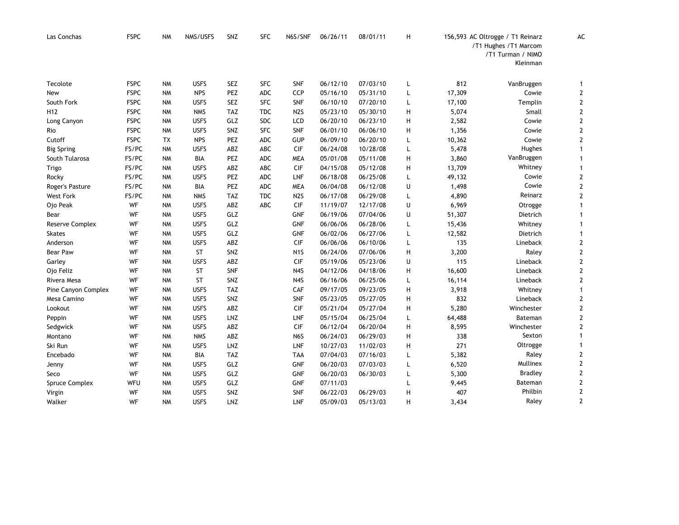| Las Conchas         | <b>FSPC</b> | <b>NM</b> | NMS/USFS    | SNZ        | <b>SFC</b> | N6S/SNF          | 06/26/11 | 08/01/11 | н |        | 156,593 AC Oltrogge / T1 Reinarz<br>/T1 Hughes /T1 Marcom<br>/T1 Turman / NIMO<br>Kleinman | AC                      |
|---------------------|-------------|-----------|-------------|------------|------------|------------------|----------|----------|---|--------|--------------------------------------------------------------------------------------------|-------------------------|
| Tecolote            | <b>FSPC</b> | <b>NM</b> | <b>USFS</b> | <b>SEZ</b> | <b>SFC</b> | <b>SNF</b>       | 06/12/10 | 07/03/10 | L | 812    | VanBruggen                                                                                 | $\mathbf{1}$            |
| New                 | <b>FSPC</b> | <b>NM</b> | <b>NPS</b>  | PEZ        | ADC        | CCP              | 05/16/10 | 05/31/10 | L | 17,309 | Cowie                                                                                      | $\mathbf{2}$            |
| South Fork          | <b>FSPC</b> | <b>NM</b> | <b>USFS</b> | <b>SEZ</b> | <b>SFC</b> | <b>SNF</b>       | 06/10/10 | 07/20/10 | L | 17,100 | Templin                                                                                    | $\mathbf 2$             |
| H <sub>12</sub>     | <b>FSPC</b> | <b>NM</b> | <b>NMS</b>  | <b>TAZ</b> | <b>TDC</b> | N <sub>2</sub> S | 05/23/10 | 05/30/10 | н | 5,074  | Small                                                                                      | $\overline{\mathbf{c}}$ |
| Long Canyon         | <b>FSPC</b> | <b>NM</b> | <b>USFS</b> | GLZ        | <b>SDC</b> | <b>LCD</b>       | 06/20/10 | 06/23/10 | н | 2,582  | Cowie                                                                                      | $\mathbf 2$             |
| Rio                 | <b>FSPC</b> | <b>NM</b> | <b>USFS</b> | SNZ        | <b>SFC</b> | <b>SNF</b>       | 06/01/10 | 06/06/10 | Н | 1,356  | Cowie                                                                                      | $\mathbf 2$             |
| Cutoff              | <b>FSPC</b> | <b>TX</b> | <b>NPS</b>  | <b>PEZ</b> | <b>ADC</b> | <b>GUP</b>       | 06/09/10 | 06/20/10 | L | 10,362 | Cowie                                                                                      | $\overline{2}$          |
| <b>Big Spring</b>   | FS/PC       | <b>NM</b> | <b>USFS</b> | ABZ        | ABC        | <b>CIF</b>       | 06/24/08 | 10/28/08 | L | 5,478  | Hughes                                                                                     | $\mathbf{1}$            |
| South Tularosa      | FS/PC       | <b>NM</b> | BIA         | PEZ        | <b>ADC</b> | <b>MEA</b>       | 05/01/08 | 05/11/08 | н | 3,860  | VanBruggen                                                                                 | $\mathbf{1}$            |
| Trigo               | FS/PC       | <b>NM</b> | <b>USFS</b> | ABZ        | ABC        | <b>CIF</b>       | 04/15/08 | 05/12/08 | Н | 13,709 | Whitney                                                                                    | $\mathbf{1}$            |
| Rocky               | FS/PC       | <b>NM</b> | <b>USFS</b> | PEZ        | ADC        | LNF              | 06/18/08 | 06/25/08 | L | 49,132 | Cowie                                                                                      | $\mathbf 2$             |
| Roger's Pasture     | FS/PC       | <b>NM</b> | BIA         | PEZ        | <b>ADC</b> | <b>MEA</b>       | 06/04/08 | 06/12/08 | U | 1,498  | Cowie                                                                                      | $\mathbf{2}$            |
| <b>West Fork</b>    | FS/PC       | <b>NM</b> | <b>NMS</b>  | <b>TAZ</b> | <b>TDC</b> | N2S              | 06/17/08 | 06/29/08 | L | 4,890  | Reinarz                                                                                    | $\mathbf 2$             |
| Ojo Peak            | WF          | <b>NM</b> | <b>USFS</b> | ABZ        | ABC        | <b>CIF</b>       | 11/19/07 | 12/17/08 | U | 6,969  | Otrogge                                                                                    | $\mathbf{1}$            |
| Bear                | WF          | <b>NM</b> | <b>USFS</b> | GLZ        |            | <b>GNF</b>       | 06/19/06 | 07/04/06 | U | 51,307 | Dietrich                                                                                   | $\mathbf{1}$            |
| Reserve Complex     | WF          | <b>NM</b> | <b>USFS</b> | GLZ        |            | GNF              | 06/06/06 | 06/28/06 | L | 15,436 | Whitney                                                                                    | 1                       |
| <b>Skates</b>       | WF          | <b>NM</b> | <b>USFS</b> | GLZ        |            | <b>GNF</b>       | 06/02/06 | 06/27/06 | L | 12,582 | Dietrich                                                                                   | $\mathbf{1}$            |
| Anderson            | WF          | <b>NM</b> | <b>USFS</b> | ABZ        |            | <b>CIF</b>       | 06/06/06 | 06/10/06 | L | 135    | Lineback                                                                                   | $\mathbf{2}$            |
| <b>Bear Paw</b>     | WF          | <b>NM</b> | <b>ST</b>   | SNZ        |            | N <sub>1</sub> S | 06/24/06 | 07/06/06 | Н | 3,200  | Raley                                                                                      | $\mathbf 2$             |
| Garley              | WF          | <b>NM</b> | <b>USFS</b> | ABZ        |            | <b>CIF</b>       | 05/19/06 | 05/23/06 | U | 115    | Lineback                                                                                   | $\mathbf{2}$            |
| Ojo Feliz           | WF          | <b>NM</b> | <b>ST</b>   | <b>SNF</b> |            | N4S              | 04/12/06 | 04/18/06 | н | 16,600 | Lineback                                                                                   | $\mathbf 2$             |
| Rivera Mesa         | WF          | <b>NM</b> | <b>ST</b>   | SNZ        |            | N4S              | 06/16/06 | 06/25/06 | L | 16,114 | Lineback                                                                                   | $\overline{2}$          |
| Pine Canyon Complex | WF          | <b>NM</b> | <b>USFS</b> | <b>TAZ</b> |            | CAF              | 09/17/05 | 09/23/05 | н | 3,918  | Whitney                                                                                    | $\mathbf{1}$            |
| Mesa Camino         | WF          | <b>NM</b> | <b>USFS</b> | SNZ        |            | <b>SNF</b>       | 05/23/05 | 05/27/05 | Н | 832    | Lineback                                                                                   | $\mathbf{2}$            |
| Lookout             | WF          | <b>NM</b> | <b>USFS</b> | ABZ        |            | <b>CIF</b>       | 05/21/04 | 05/27/04 | Н | 5,280  | Winchester                                                                                 | $\mathbf 2$             |
| Peppin              | WF          | <b>NM</b> | <b>USFS</b> | LNZ        |            | LNF              | 05/15/04 | 06/25/04 | L | 64,488 | Bateman                                                                                    | $\mathbf 2$             |
| Sedgwick            | WF          | <b>NM</b> | <b>USFS</b> | ABZ        |            | CIF              | 06/12/04 | 06/20/04 | Н | 8,595  | Winchester                                                                                 | $\mathbf 2$             |
| Montano             | WF          | <b>NM</b> | <b>NMS</b>  | ABZ        |            | N6S              | 06/24/03 | 06/29/03 | н | 338    | Sexton                                                                                     | $\mathbf{1}$            |
| Ski Run             | WF          | <b>NM</b> | <b>USFS</b> | LNZ        |            | LNF              | 10/27/03 | 11/02/03 | н | 271    | Oltrogge                                                                                   | $\mathbf{1}$            |
| Encebado            | WF          | <b>NM</b> | BIA         | <b>TAZ</b> |            | <b>TAA</b>       | 07/04/03 | 07/16/03 | L | 5,382  | Raley                                                                                      | 2                       |
| Jenny               | WF          | <b>NM</b> | <b>USFS</b> | GLZ        |            | <b>GNF</b>       | 06/20/03 | 07/03/03 | L | 6,520  | Mullinex                                                                                   | $\mathbf 2$             |
| Seco                | WF          | <b>NM</b> | <b>USFS</b> | GLZ        |            | GNF              | 06/20/03 | 06/30/03 | L | 5,300  | <b>Bradley</b>                                                                             | $\mathbf 2$             |
| Spruce Complex      | WFU         | <b>NM</b> | <b>USFS</b> | GLZ        |            | <b>GNF</b>       | 07/11/03 |          | L | 9,445  | Bateman                                                                                    | 2                       |
| Virgin              | WF          | <b>NM</b> | <b>USFS</b> | SNZ        |            | <b>SNF</b>       | 06/22/03 | 06/29/03 | Н | 407    | Philbin                                                                                    | $\mathbf 2$             |
| Walker              | WF          | <b>NM</b> | <b>USFS</b> | LNZ        |            | LNF              | 05/09/03 | 05/13/03 | н | 3,434  | Raley                                                                                      | $\mathbf{2}$            |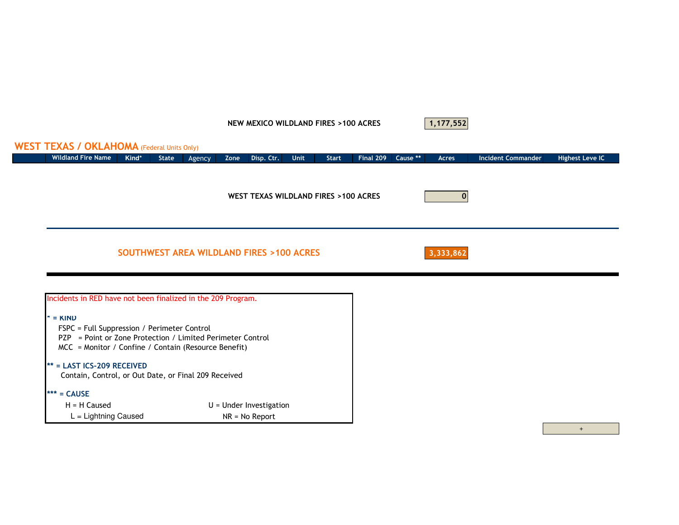#### NEW MEXICO WILDLAND FIRES >100 ACRES



## Wildland Fire Name **Kind\*** State AgencyZone Disp. Ctr. Unit Start Final 209 Cause \*\* Acres Incident Commander Highest Leve IC 03,333,862 $* =$  KIND FSPC = Full Suppression / Perimeter ControlSOUTHWEST AREA WILDLAND FIRES >100 ACRESWEST TEXAS WILDLAND FIRES >100 ACRESWEST TEXAS / OKLAHOMA (Federal Units Only) Incidents in RED have not been finalized in the 209 Program. Contain, Control, or Out Date, or Final 209 Received \*\* = LAST ICS-209 RECEIVED PZP = Point or Zone Protection / Limited Perimeter ControlMCC = Monitor / Confine / Contain (Resource Benefit)

\*\*\* = CAUSE

 L = Lightning Caused $H = H$  Caused

 $U =$  Under Investigation NR = No Report

+